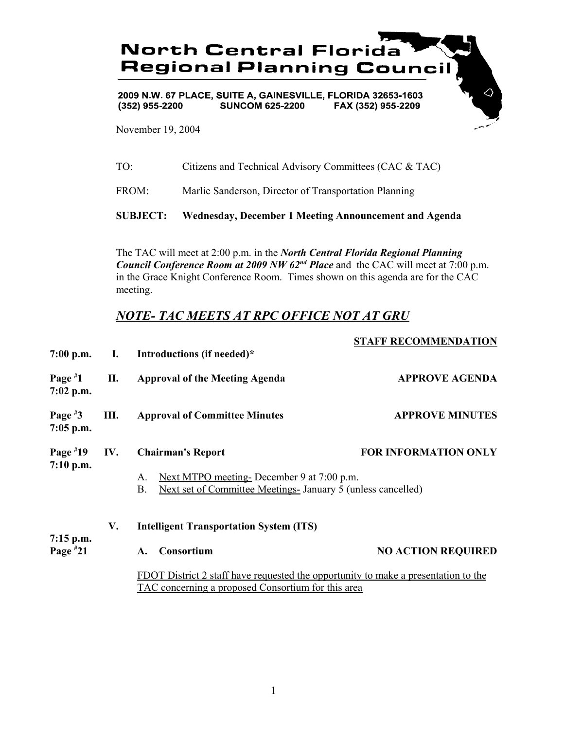

2009 N.W. 67 PLACE, SUITE A, GAINESVILLE, FLORIDA 32653-1603  $(352)$  955-2200 **SUNCOM 625-2200** FAX (352) 955-2209

November 19, 2004

| <b>SUBJECT:</b> | Wednesday, December 1 Meeting Announcement and Agenda  |
|-----------------|--------------------------------------------------------|
| FROM:           | Marlie Sanderson, Director of Transportation Planning  |
| TO <sup>.</sup> | Citizens and Technical Advisory Committees (CAC & TAC) |

The TAC will meet at 2:00 p.m. in the *North Central Florida Regional Planning Council Conference Room at 2009 NW 62nd Place* and the CAC will meet at 7:00 p.m. in the Grace Knight Conference Room. Times shown on this agenda are for the CAC meeting.

## *NOTE- TAC MEETS AT RPC OFFICE NOT AT GRU*

## **STAFF RECOMMENDATION**

| $7:00$ p.m.               |                                                      | I. Introductions (if needed)*                                                                                                            |                             |
|---------------------------|------------------------------------------------------|------------------------------------------------------------------------------------------------------------------------------------------|-----------------------------|
| Page $*1$<br>$7:02$ p.m.  | П.                                                   | <b>Approval of the Meeting Agenda</b>                                                                                                    | <b>APPROVE AGENDA</b>       |
| Page $*3$<br>$7:05$ p.m.  | Ш.                                                   | <b>Approval of Committee Minutes</b>                                                                                                     | <b>APPROVE MINUTES</b>      |
| Page $*19$                | IV.                                                  | <b>Chairman's Report</b>                                                                                                                 | <b>FOR INFORMATION ONLY</b> |
| 7:10 p.m.                 |                                                      | Next MTPO meeting-December 9 at 7:00 p.m.<br>Α.<br>Next set of Committee Meetings-January 5 (unless cancelled)<br><b>B.</b>              |                             |
|                           | <b>Intelligent Transportation System (ITS)</b><br>V. |                                                                                                                                          |                             |
| $7:15$ p.m.<br>Page $*21$ |                                                      | Consortium<br>A.                                                                                                                         | <b>NO ACTION REQUIRED</b>   |
|                           |                                                      | FDOT District 2 staff have requested the opportunity to make a presentation to the<br>TAC concerning a proposed Consortium for this area |                             |